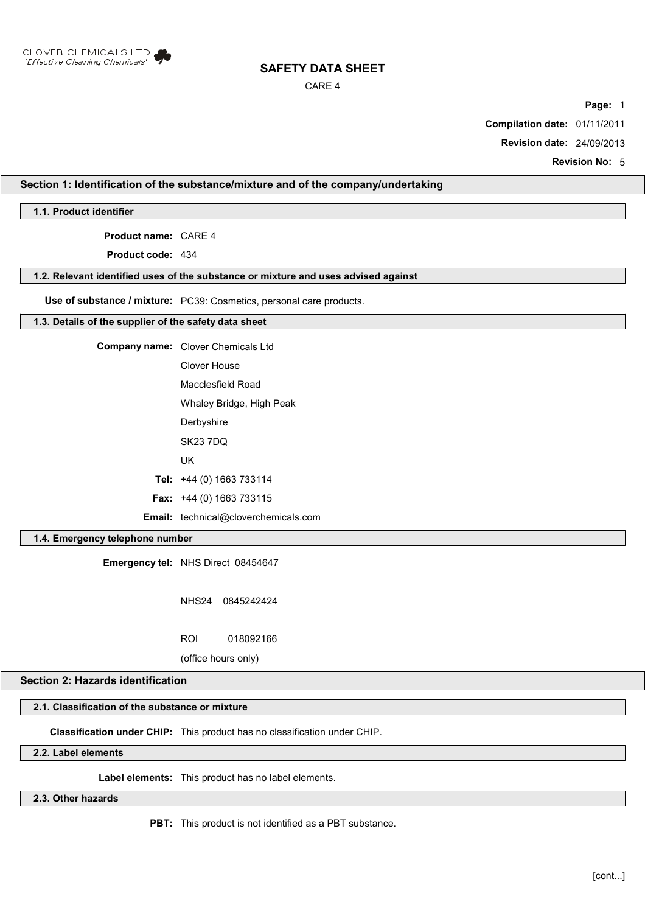

### CARE 4

**Page:** 1

**Compilation date:** 01/11/2011

**Revision date:** 24/09/2013

**Revision No:** 5

## **Section 1: Identification of the substance/mixture and of the company/undertaking**

**1.1. Product identifier**

**Product name:** CARE 4

**Product code:** 434

#### **1.2. Relevant identified uses of the substance or mixture and uses advised against**

**Use of substance / mixture:** PC39: Cosmetics, personal care products.

#### **1.3. Details of the supplier of the safety data sheet**

**Company name:** Clover Chemicals Ltd Clover House Macclesfield Road

Whaley Bridge, High Peak

**Derbyshire** 

SK23 7DQ

UK

**Tel:** +44 (0) 1663 733114

**Fax:** +44 (0) 1663 733115

**Email:** technical@cloverchemicals.com

## **1.4. Emergency telephone number**

**Emergency tel:** NHS Direct 08454647

NHS24 0845242424

ROI 018092166

(office hours only)

# **Section 2: Hazards identification**

# **2.1. Classification of the substance or mixture**

**Classification under CHIP:** This product has no classification under CHIP.

# **2.2. Label elements**

**Label elements:** This product has no label elements.

**2.3. Other hazards**

**PBT:** This product is not identified as a PBT substance.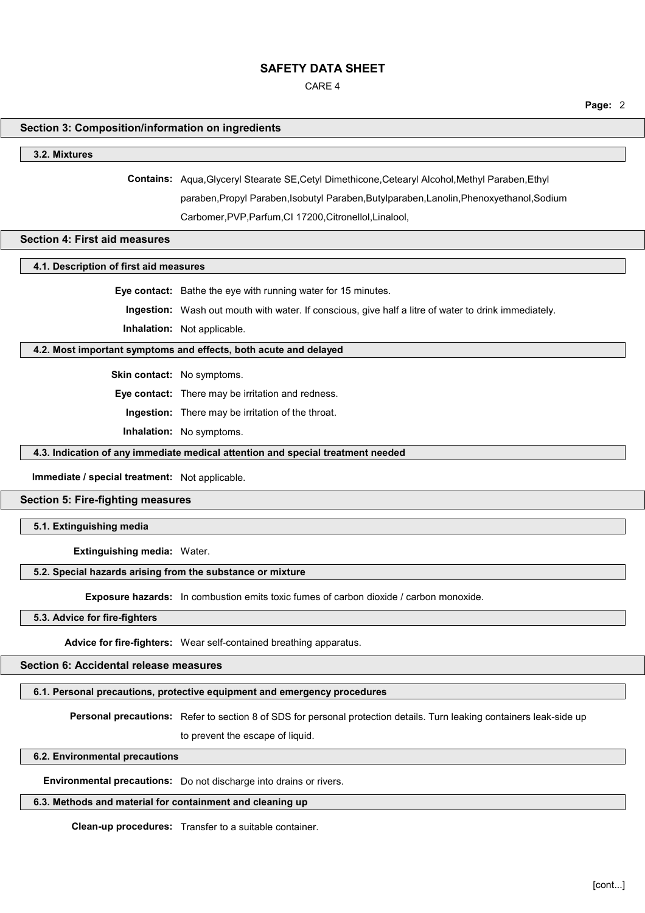CARE 4

**Page:** 2

## **Section 3: Composition/information on ingredients**

#### **3.2. Mixtures**

**Contains:** Aqua,Glyceryl Stearate SE,Cetyl Dimethicone,Cetearyl Alcohol,Methyl Paraben,Ethyl paraben,Propyl Paraben,Isobutyl Paraben,Butylparaben,Lanolin,Phenoxyethanol,Sodium

Carbomer,PVP,Parfum,CI 17200,Citronellol,Linalool,

### **Section 4: First aid measures**

## **4.1. Description of first aid measures**

**Eye contact:** Bathe the eye with running water for 15 minutes.

**Ingestion:** Wash out mouth with water. If conscious, give half a litre of water to drink immediately.

**Inhalation:** Not applicable.

## **4.2. Most important symptoms and effects, both acute and delayed**

**Skin contact:** No symptoms.

**Eye contact:** There may be irritation and redness.

**Ingestion:** There may be irritation of the throat.

**Inhalation:** No symptoms.

#### **4.3. Indication of any immediate medical attention and special treatment needed**

**Immediate / special treatment:** Not applicable.

### **Section 5: Fire-fighting measures**

**5.1. Extinguishing media**

**Extinguishing media:** Water.

#### **5.2. Special hazards arising from the substance or mixture**

**Exposure hazards:** In combustion emits toxic fumes of carbon dioxide / carbon monoxide.

#### **5.3. Advice for fire-fighters**

**Advice for fire-fighters:** Wear self-contained breathing apparatus.

# **Section 6: Accidental release measures**

#### **6.1. Personal precautions, protective equipment and emergency procedures**

**Personal precautions:** Refer to section 8 of SDS for personal protection details. Turn leaking containers leak-side up

to prevent the escape of liquid.

#### **6.2. Environmental precautions**

**Environmental precautions:** Do not discharge into drains or rivers.

#### **6.3. Methods and material for containment and cleaning up**

**Clean-up procedures:** Transfer to a suitable container.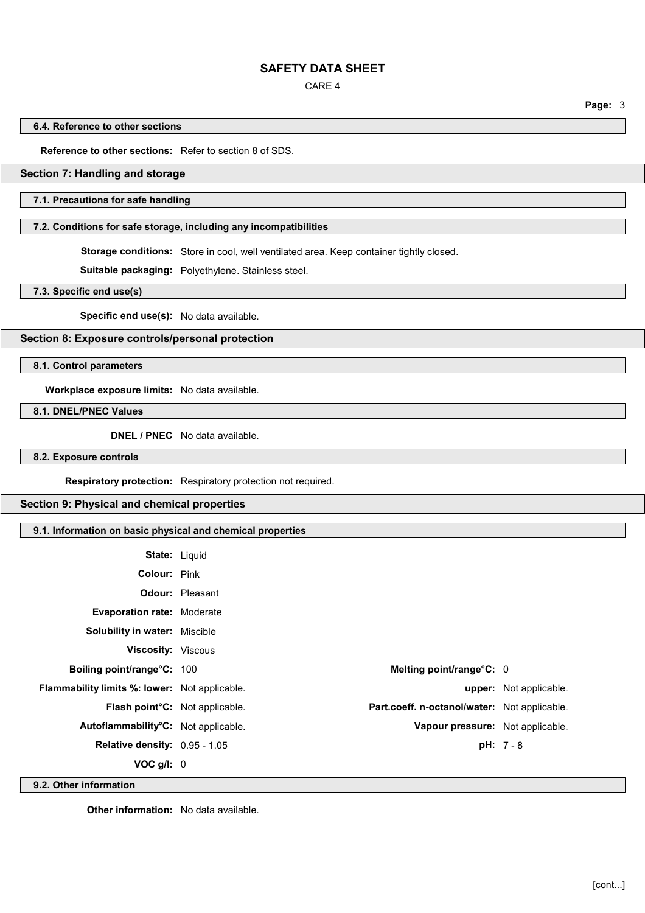CARE 4

**Page:** 3

#### **6.4. Reference to other sections**

**Reference to other sections:** Refer to section 8 of SDS.

### **Section 7: Handling and storage**

#### **7.1. Precautions for safe handling**

## **7.2. Conditions for safe storage, including any incompatibilities**

**Storage conditions:** Store in cool, well ventilated area. Keep container tightly closed.

**Suitable packaging:** Polyethylene. Stainless steel.

**7.3. Specific end use(s)**

**Specific end use(s):** No data available.

**Section 8: Exposure controls/personal protection**

**8.1. Control parameters**

**Workplace exposure limits:** No data available.

**8.1. DNEL/PNEC Values**

**DNEL / PNEC** No data available.

**8.2. Exposure controls**

**Respiratory protection:** Respiratory protection not required.

### **Section 9: Physical and chemical properties**

# **9.1. Information on basic physical and chemical properties**

| <b>State: Liquid</b>                                 |                        |                                              |                               |
|------------------------------------------------------|------------------------|----------------------------------------------|-------------------------------|
| Colour: Pink                                         |                        |                                              |                               |
|                                                      | <b>Odour: Pleasant</b> |                                              |                               |
| <b>Evaporation rate: Moderate</b>                    |                        |                                              |                               |
| <b>Solubility in water: Miscible</b>                 |                        |                                              |                               |
| <b>Viscosity: Viscous</b>                            |                        |                                              |                               |
| Boiling point/range°C: 100                           |                        | Melting point/range°C: 0                     |                               |
| <b>Flammability limits %: lower:</b> Not applicable. |                        |                                              | <b>upper:</b> Not applicable. |
| Flash point°C: Not applicable.                       |                        | Part.coeff. n-octanol/water: Not applicable. |                               |
| Autoflammability°C: Not applicable.                  |                        | Vapour pressure: Not applicable.             |                               |
| Relative density: 0.95 - 1.05                        |                        |                                              | $pH: 7 - 8$                   |
| VOC $g/I: 0$                                         |                        |                                              |                               |

**9.2. Other information**

**Other information:** No data available.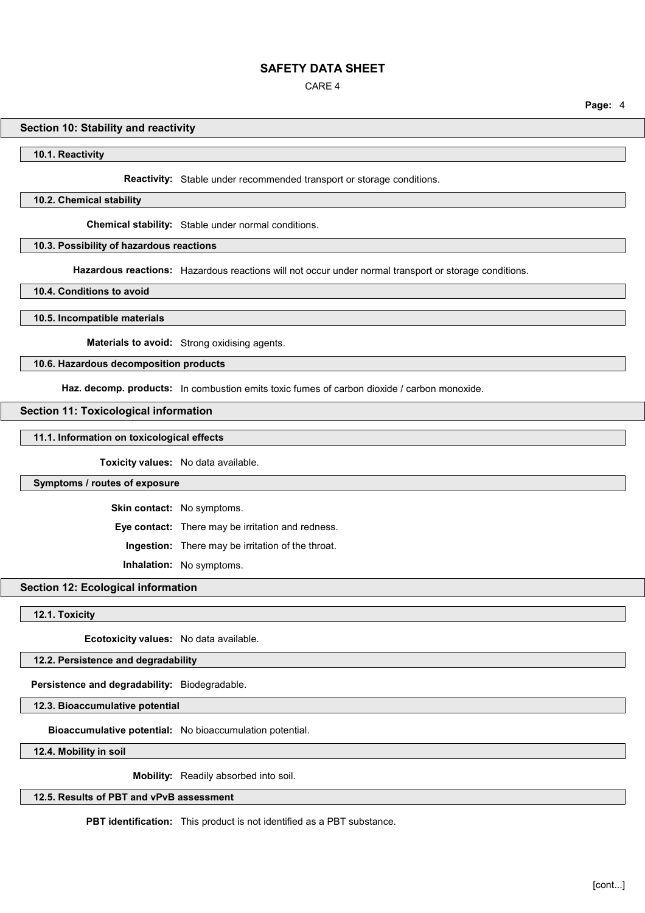CARE 4

#### **Section 10: Stability and reactivity**

**10.1. Reactivity**

**Reactivity:** Stable under recommended transport or storage conditions.

**10.2. Chemical stability**

**Chemical stability:** Stable under normal conditions.

#### **10.3. Possibility of hazardous reactions**

**Hazardous reactions:** Hazardous reactions will not occur under normal transport or storage conditions.

**10.4. Conditions to avoid**

**10.5. Incompatible materials**

**Materials to avoid:** Strong oxidising agents.

## **10.6. Hazardous decomposition products**

**Haz. decomp. products:** In combustion emits toxic fumes of carbon dioxide / carbon monoxide.

### **Section 11: Toxicological information**

#### **11.1. Information on toxicological effects**

**Toxicity values:** No data available.

### **Symptoms / routes of exposure**

**Skin contact:** No symptoms.

**Eye contact:** There may be irritation and redness.

**Ingestion:** There may be irritation of the throat.

**Inhalation:** No symptoms.

#### **Section 12: Ecological information**

**12.1. Toxicity**

**Ecotoxicity values:** No data available.

**12.2. Persistence and degradability**

**Persistence and degradability:** Biodegradable.

**12.3. Bioaccumulative potential**

**Bioaccumulative potential:** No bioaccumulation potential.

**12.4. Mobility in soil**

**Mobility:** Readily absorbed into soil.

**12.5. Results of PBT and vPvB assessment**

**PBT identification:** This product is not identified as a PBT substance.

**Page:** 4